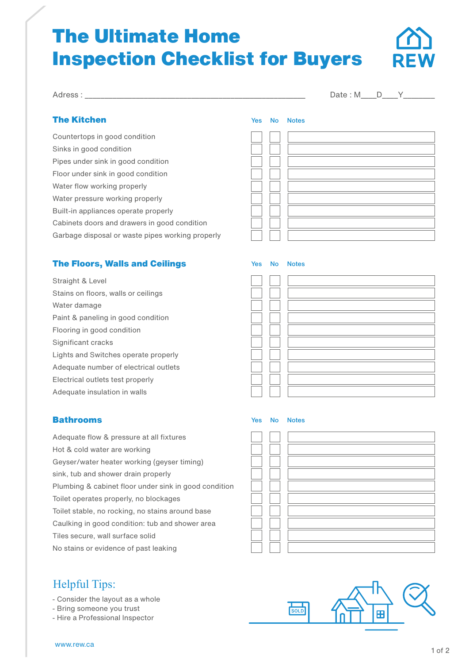# The Ultimate Home Inspection Checklist for Buyers



Adress : \_\_\_\_\_\_\_\_\_\_\_\_\_\_\_\_\_\_\_\_\_\_\_\_\_\_\_\_\_\_\_\_\_\_\_\_\_\_\_\_\_\_\_\_\_\_\_\_\_\_\_\_\_\_\_\_ Date : M\_\_\_\_D\_\_\_\_Y\_\_\_\_\_\_\_\_

### The Kitchen

Countertops in good condition Sinks in good condition Pipes under sink in good condition Floor under sink in good condition Water flow working properly Water pressure working properly Built-in appliances operate properly Cabinets doors and drawers in good condition Garbage disposal or waste pipes working properly

## The Floors, Walls and Ceilings

Straight & Level Stains on floors, walls or ceilings Water damage Paint & paneling in good condition Flooring in good condition Significant cracks Lights and Switches operate properly Adequate number of electrical outlets Electrical outlets test properly Adequate insulation in walls

|  | Yes No Notes |
|--|--------------|
|  |              |
|  |              |
|  |              |
|  |              |
|  |              |
|  |              |
|  |              |
|  |              |
|  |              |
|  |              |
|  |              |
|  |              |

#### Bathrooms

Adequate flow & pressure at all fixtures Hot & cold water are working Geyser/water heater working (geyser timing) sink, tub and shower drain properly Plumbing & cabinet floor under sink in good condition Toilet operates properly, no blockages Toilet stable, no rocking, no stains around base Caulking in good condition: tub and shower area Tiles secure, wall surface solid No stains or evidence of past leaking

# Helpful Tips:

- Consider the layout as a whole
- Bring someone you trust
- Hire a Professional Inspector



Yes No Notes

Yes No Notes